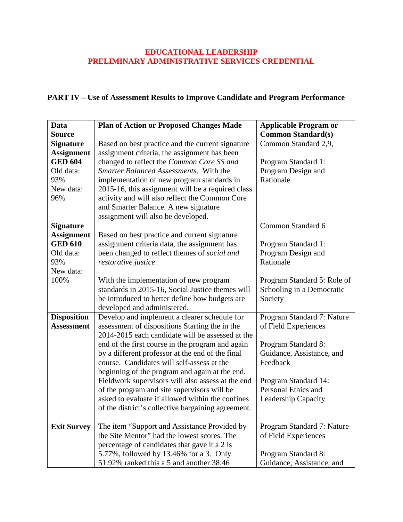## **EDUCATIONAL LEADERSHIP PRELIMINARY ADMINISTRATIVE SERVICES CREDENTIAL**

## **PART IV – Use of Assessment Results to Improve Candidate and Program Performance**

| <b>Data</b>        | <b>Plan of Action or Proposed Changes Made</b>     | <b>Applicable Program or</b> |
|--------------------|----------------------------------------------------|------------------------------|
| <b>Source</b>      |                                                    | <b>Common Standard(s)</b>    |
| <b>Signature</b>   | Based on best practice and the current signature   | Common Standard 2,9,         |
| <b>Assignment</b>  | assignment criteria, the assignment has been       |                              |
| <b>GED 604</b>     | changed to reflect the Common Core SS and          | Program Standard 1:          |
| Old data:          | Smarter Balanced Assessments. With the             | Program Design and           |
| 93%                | implementation of new program standards in         | Rationale                    |
| New data:          | 2015-16, this assignment will be a required class  |                              |
| 96%                | activity and will also reflect the Common Core     |                              |
|                    | and Smarter Balance. A new signature               |                              |
|                    | assignment will also be developed.                 |                              |
| <b>Signature</b>   |                                                    | Common Standard 6            |
| <b>Assignment</b>  | Based on best practice and current signature       |                              |
| <b>GED 610</b>     | assignment criteria data, the assignment has       | Program Standard 1:          |
| Old data:          | been changed to reflect themes of social and       | Program Design and           |
| 93%                | restorative justice.                               | Rationale                    |
| New data:          |                                                    |                              |
| 100%               | With the implementation of new program             | Program Standard 5: Role of  |
|                    | standards in 2015-16, Social Justice themes will   | Schooling in a Democratic    |
|                    | be introduced to better define how budgets are     | Society                      |
|                    | developed and administered.                        |                              |
| <b>Disposition</b> | Develop and implement a clearer schedule for       | Program Standard 7: Nature   |
| <b>Assessment</b>  | assessment of dispositions Starting the in the     | of Field Experiences         |
|                    | 2014-2015 each candidate will be assessed at the   |                              |
|                    | end of the first course in the program and again   | Program Standard 8:          |
|                    | by a different professor at the end of the final   | Guidance, Assistance, and    |
|                    | course. Candidates will self-assess at the         | Feedback                     |
|                    | beginning of the program and again at the end.     |                              |
|                    | Fieldwork supervisors will also assess at the end  | Program Standard 14:         |
|                    | of the program and site supervisors will be        | Personal Ethics and          |
|                    | asked to evaluate if allowed within the confines   | <b>Leadership Capacity</b>   |
|                    | of the district's collective bargaining agreement. |                              |
|                    |                                                    |                              |
| <b>Exit Survey</b> | The item "Support and Assistance Provided by       | Program Standard 7: Nature   |
|                    | the Site Mentor" had the lowest scores. The        | of Field Experiences         |
|                    | percentage of candidates that gave it a 2 is       |                              |
|                    | 5.77%, followed by 13.46% for a 3. Only            | Program Standard 8:          |
|                    | 51.92% ranked this a 5 and another 38.46           | Guidance, Assistance, and    |